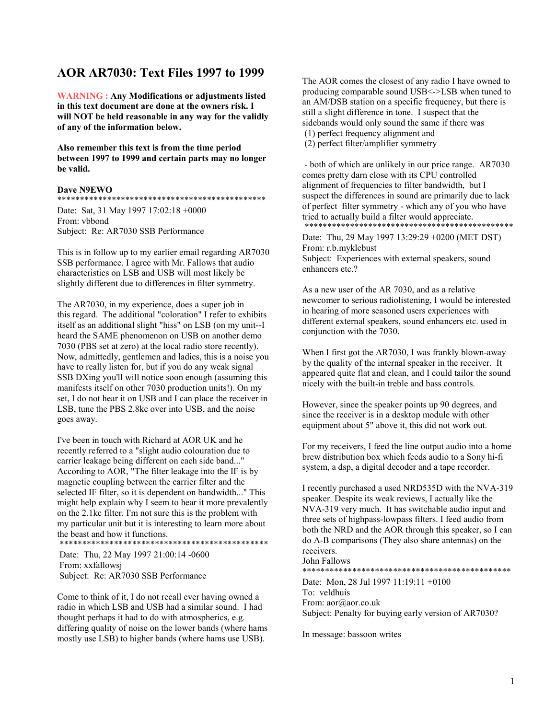# **AOR AR7030: Text Files 1997 to 1999**

**WARNING : Any Modifications or adjustments listed in this text document are done at the owners risk. I will NOT be held reasonable in any way for the validly of any of the information below.** 

**Also remember this text is from the time period between 1997 to 1999 and certain parts may no longer be valid.** 

# **Dave N9EWO**

# \*\*\*\*\*\*\*\*\*\*\*\*\*\*\*\*\*\*\*\*\*\*\*\*\*\*\*\*\*\*\*\*\*\*\*\*\*\*\*\*\*\*\*\*\*\*

Date: Sat, 31 May 1997 17:02:18 +0000 From: vbbond Subject: Re: AR7030 SSB Performance

This is in follow up to my earlier email regarding AR7030 SSB performance. I agree with Mr. Fallows that audio characteristics on LSB and USB will most likely be slightly different due to differences in filter symmetry.

The AR7030, in my experience, does a super job in this regard. The additional "coloration" I refer to exhibits itself as an additional slight "hiss" on LSB (on my unit--I heard the SAME phenomenon on USB on another demo 7030 (PBS set at zero) at the local radio store recently). Now, admittedly, gentlemen and ladies, this is a noise you have to really listen for, but if you do any weak signal SSB DXing you'll will notice soon enough (assuming this manifests itself on other 7030 production units!). On my set, I do not hear it on USB and I can place the receiver in LSB, tune the PBS 2.8kc over into USB, and the noise goes away.

I've been in touch with Richard at AOR UK and he recently referred to a "slight audio colouration due to carrier leakage being different on each side band..." According to AOR, "The filter leakage into the IF is by magnetic coupling between the carrier filter and the selected IF filter, so it is dependent on bandwidth..." This might help explain why I seem to hear it more prevalently on the 2.1kc filter. I'm not sure this is the problem with my particular unit but it is interesting to learn more about the beast and how it functions.

\*\*\*\*\*\*\*\*\*\*\*\*\*\*\*\*\*\*\*\*\*\*\*\*\*\*\*\*\*\*\*\*\*\*\*\*\*\*\*\*\*\*\*\*\*\*

 Date: Thu, 22 May 1997 21:00:14 -0600 From: xxfallowsj Subject: Re: AR7030 SSB Performance

Come to think of it, I do not recall ever having owned a radio in which LSB and USB had a similar sound. I had thought perhaps it had to do with atmospherics, e.g. differing quality of noise on the lower bands (where hams mostly use LSB) to higher bands (where hams use USB).

The AOR comes the closest of any radio I have owned to producing comparable sound USB<->LSB when tuned to an AM/DSB station on a specific frequency, but there is still a slight difference in tone. I suspect that the sidebands would only sound the same if there was (1) perfect frequency alignment and

(2) perfect filter/amplifier symmetry

 - both of which are unlikely in our price range. AR7030 comes pretty darn close with its CPU controlled alignment of frequencies to filter bandwidth, but I suspect the differences in sound are primarily due to lack of perfect filter symmetry - which any of you who have tried to actually build a filter would appreciate. \*\*\*\*\*\*\*\*\*\*\*\*\*\*\*\*\*\*\*\*\*\*\*\*\*\*\*\*\*\*\*\*\*\*\*\*\*\*\*\*\*\*\*\*\*\*

Date: Thu, 29 May 1997 13:29:29 +0200 (MET DST) From: r.b.myklebust Subject: Experiences with external speakers, sound enhancers etc.?

As a new user of the AR 7030, and as a relative newcomer to serious radiolistening, I would be interested in hearing of more seasoned users experiences with different external speakers, sound enhancers etc. used in conjunction with the 7030.

When I first got the AR7030, I was frankly blown-away by the quality of the internal speaker in the receiver. It appeared quite flat and clean, and I could tailor the sound nicely with the built-in treble and bass controls.

However, since the speaker points up 90 degrees, and since the receiver is in a desktop module with other equipment about 5" above it, this did not work out.

For my receivers, I feed the line output audio into a home brew distribution box which feeds audio to a Sony hi-fi system, a dsp, a digital decoder and a tape recorder.

I recently purchased a used NRD535D with the NVA-319 speaker. Despite its weak reviews, I actually like the NVA-319 very much. It has switchable audio input and three sets of highpass-lowpass filters. I feed audio from both the NRD and the AOR through this speaker, so I can do A-B comparisons (They also share antennas) on the receivers.

John Fallows

\*\*\*\*\*\*\*\*\*\*\*\*\*\*\*\*\*\*\*\*\*\*\*\*\*\*\*\*\*\*\*\*\*\*\*\*\*\*\*\*\*\*\*\*\*\*

Date: Mon, 28 Jul 1997 11:19:11 +0100 To: veldhuis From: aor@aor.co.uk Subject: Penalty for buying early version of AR7030?

In message: bassoon writes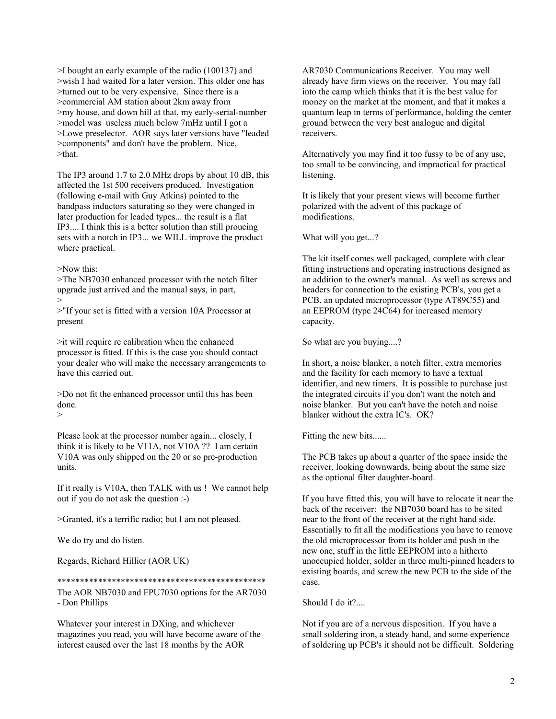>I bought an early example of the radio (100137) and >wish I had waited for a later version. This older one has >turned out to be very expensive. Since there is a >commercial AM station about 2km away from >my house, and down hill at that, my early-serial-number >model was useless much below 7mHz until I got a >Lowe preselector. AOR says later versions have "leaded >components" and don't have the problem. Nice, >that.

The IP3 around 1.7 to 2.0 MHz drops by about 10 dB, this affected the 1st 500 receivers produced. Investigation (following e-mail with Guy Atkins) pointed to the bandpass inductors saturating so they were changed in later production for leaded types... the result is a flat IP3.... I think this is a better solution than still proucing sets with a notch in IP3... we WILL improve the product where practical.

>Now this:

>The NB7030 enhanced processor with the notch filter upgrade just arrived and the manual says, in part, >

>"If your set is fitted with a version 10A Processor at present

>it will require re calibration when the enhanced processor is fitted. If this is the case you should contact your dealer who will make the necessary arrangements to have this carried out.

>Do not fit the enhanced processor until this has been done.

>

Please look at the processor number again... closely, I think it is likely to be V11A, not V10A ?? I am certain V10A was only shipped on the 20 or so pre-production units.

If it really is V10A, then TALK with us ! We cannot help out if you do not ask the question :-)

>Granted, it's a terrific radio; but I am not pleased.

We do try and do listen.

Regards, Richard Hillier (AOR UK)

\*\*\*\*\*\*\*\*\*\*\*\*\*\*\*\*\*\*\*\*\*\*\*\*\*\*\*\*\*\*\*\*\*\*\*\*\*\*\*\*\*\*\*\*\*\*

The AOR NB7030 and FPU7030 options for the AR7030 - Don Phillips

Whatever your interest in DXing, and whichever magazines you read, you will have become aware of the interest caused over the last 18 months by the AOR

AR7030 Communications Receiver. You may well already have firm views on the receiver. You may fall into the camp which thinks that it is the best value for money on the market at the moment, and that it makes a quantum leap in terms of performance, holding the center ground between the very best analogue and digital receivers.

Alternatively you may find it too fussy to be of any use, too small to be convincing, and impractical for practical listening.

It is likely that your present views will become further polarized with the advent of this package of modifications.

What will you get...?

The kit itself comes well packaged, complete with clear fitting instructions and operating instructions designed as an addition to the owner's manual. As well as screws and headers for connection to the existing PCB's, you get a PCB, an updated microprocessor (type AT89C55) and an EEPROM (type 24C64) for increased memory capacity.

So what are you buying....?

In short, a noise blanker, a notch filter, extra memories and the facility for each memory to have a textual identifier, and new timers. It is possible to purchase just the integrated circuits if you don't want the notch and noise blanker. But you can't have the notch and noise blanker without the extra IC's. OK?

Fitting the new bits......

The PCB takes up about a quarter of the space inside the receiver, looking downwards, being about the same size as the optional filter daughter-board.

If you have fitted this, you will have to relocate it near the back of the receiver: the NB7030 board has to be sited near to the front of the receiver at the right hand side. Essentially to fit all the modifications you have to remove the old microprocessor from its holder and push in the new one, stuff in the little EEPROM into a hitherto unoccupied holder, solder in three multi-pinned headers to existing boards, and screw the new PCB to the side of the case.

Should I do it?....

Not if you are of a nervous disposition. If you have a small soldering iron, a steady hand, and some experience of soldering up PCB's it should not be difficult. Soldering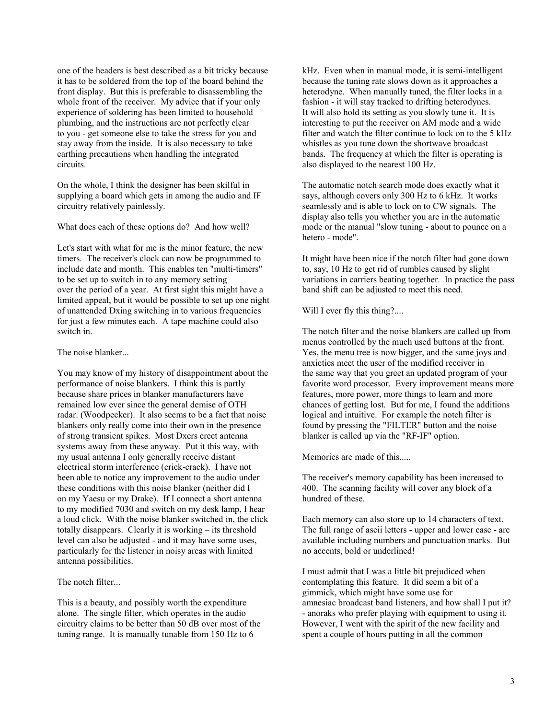one of the headers is best described as a bit tricky because it has to be soldered from the top of the board behind the front display. But this is preferable to disassembling the whole front of the receiver. My advice that if your only experience of soldering has been limited to household plumbing, and the instructions are not perfectly clear to you - get someone else to take the stress for you and stay away from the inside. It is also necessary to take earthing precautions when handling the integrated circuits.

On the whole, I think the designer has been skilful in supplying a board which gets in among the audio and IF circuitry relatively painlessly.

What does each of these options do? And how well?

Let's start with what for me is the minor feature, the new timers. The receiver's clock can now be programmed to include date and month. This enables ten "multi-timers" to be set up to switch in to any memory setting over the period of a year. At first sight this might have a limited appeal, but it would be possible to set up one night of unattended Dxing switching in to various frequencies for just a few minutes each. A tape machine could also switch in.

The noise blanker...

You may know of my history of disappointment about the performance of noise blankers. I think this is partly because share prices in blanker manufacturers have remained low ever since the general demise of OTH radar. (Woodpecker). It also seems to be a fact that noise blankers only really come into their own in the presence of strong transient spikes. Most Dxers erect antenna systems away from these anyway. Put it this way, with my usual antenna I only generally receive distant electrical storm interference (crick-crack). I have not been able to notice any improvement to the audio under these conditions with this noise blanker (neither did I on my Yaesu or my Drake). If I connect a short antenna to my modified 7030 and switch on my desk lamp, I hear a loud click. With the noise blanker switched in, the click totally disappears. Clearly it is working – its threshold level can also be adjusted - and it may have some uses, particularly for the listener in noisy areas with limited antenna possibilities.

The notch filter...

This is a beauty, and possibly worth the expenditure alone. The single filter, which operates in the audio circuitry claims to be better than 50 dB over most of the tuning range. It is manually tunable from 150 Hz to 6

kHz. Even when in manual mode, it is semi-intelligent because the tuning rate slows down as it approaches a heterodyne. When manually tuned, the filter locks in a fashion - it will stay tracked to drifting heterodynes. It will also hold its setting as you slowly tune it. It is interesting to put the receiver on AM mode and a wide filter and watch the filter continue to lock on to the 5 kHz whistles as you tune down the shortwave broadcast bands. The frequency at which the filter is operating is also displayed to the nearest 100 Hz.

The automatic notch search mode does exactly what it says, although covers only 300 Hz to 6 kHz. It works seamlessly and is able to lock on to CW signals. The display also tells you whether you are in the automatic mode or the manual "slow tuning - about to pounce on a hetero - mode".

It might have been nice if the notch filter had gone down to, say, 10 Hz to get rid of rumbles caused by slight variations in carriers beating together. In practice the pass band shift can be adjusted to meet this need.

Will I ever fly this thing?....

The notch filter and the noise blankers are called up from menus controlled by the much used buttons at the front. Yes, the menu tree is now bigger, and the same joys and anxieties meet the user of the modified receiver in the same way that you greet an updated program of your favorite word processor. Every improvement means more features, more power, more things to learn and more chances of getting lost. But for me, I found the additions logical and intuitive. For example the notch filter is found by pressing the "FILTER" button and the noise blanker is called up via the "RF-IF" option.

Memories are made of this.....

The receiver's memory capability has been increased to 400. The scanning facility will cover any block of a hundred of these.

Each memory can also store up to 14 characters of text. The full range of ascii letters - upper and lower case - are available including numbers and punctuation marks. But no accents, bold or underlined!

I must admit that I was a little bit prejudiced when contemplating this feature. It did seem a bit of a gimmick, which might have some use for amnesiac broadcast band listeners, and how shall I put it? - anoraks who prefer playing with equipment to using it. However, I went with the spirit of the new facility and spent a couple of hours putting in all the common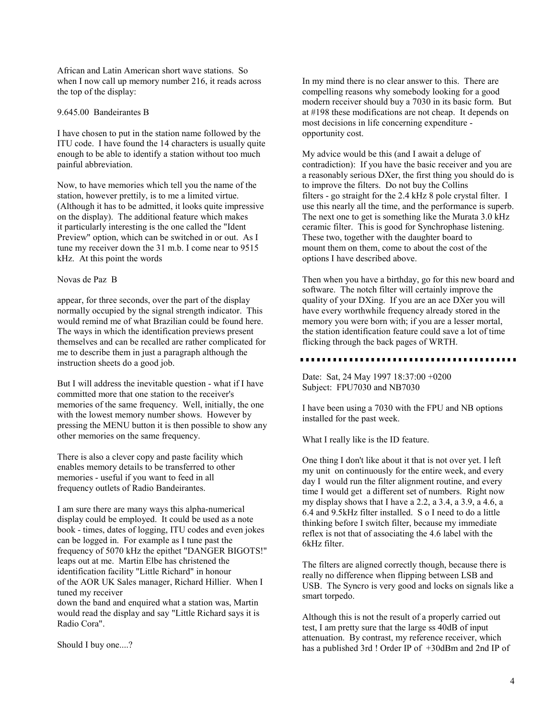African and Latin American short wave stations. So when I now call up memory number 216, it reads across the top of the display:

# 9.645.00 Bandeirantes B

I have chosen to put in the station name followed by the ITU code. I have found the 14 characters is usually quite enough to be able to identify a station without too much painful abbreviation.

Now, to have memories which tell you the name of the station, however prettily, is to me a limited virtue. (Although it has to be admitted, it looks quite impressive on the display). The additional feature which makes it particularly interesting is the one called the "Ident Preview" option, which can be switched in or out. As I tune my receiver down the 31 m.b. I come near to 9515 kHz. At this point the words

### Novas de Paz B

appear, for three seconds, over the part of the display normally occupied by the signal strength indicator. This would remind me of what Brazilian could be found here. The ways in which the identification previews present themselves and can be recalled are rather complicated for me to describe them in just a paragraph although the instruction sheets do a good job.

But I will address the inevitable question - what if I have committed more that one station to the receiver's memories of the same frequency. Well, initially, the one with the lowest memory number shows. However by pressing the MENU button it is then possible to show any other memories on the same frequency.

There is also a clever copy and paste facility which enables memory details to be transferred to other memories - useful if you want to feed in all frequency outlets of Radio Bandeirantes.

I am sure there are many ways this alpha-numerical display could be employed. It could be used as a note book - times, dates of logging, ITU codes and even jokes can be logged in. For example as I tune past the frequency of 5070 kHz the epithet "DANGER BIGOTS!" leaps out at me. Martin Elbe has christened the identification facility "Little Richard" in honour of the AOR UK Sales manager, Richard Hillier. When I tuned my receiver down the band and enquired what a station was, Martin

would read the display and say "Little Richard says it is Radio Cora".

Should I buy one....?

In my mind there is no clear answer to this. There are compelling reasons why somebody looking for a good modern receiver should buy a 7030 in its basic form. But at #198 these modifications are not cheap. It depends on most decisions in life concerning expenditure opportunity cost.

My advice would be this (and I await a deluge of contradiction): If you have the basic receiver and you are a reasonably serious DXer, the first thing you should do is to improve the filters. Do not buy the Collins filters - go straight for the 2.4 kHz 8 pole crystal filter. I use this nearly all the time, and the performance is superb. The next one to get is something like the Murata 3.0 kHz ceramic filter. This is good for Synchrophase listening. These two, together with the daughter board to mount them on them, come to about the cost of the options I have described above.

Then when you have a birthday, go for this new board and software. The notch filter will certainly improve the quality of your DXing. If you are an ace DXer you will have every worthwhile frequency already stored in the memory you were born with; if you are a lesser mortal. the station identification feature could save a lot of time flicking through the back pages of WRTH.

Date: Sat, 24 May 1997 18:37:00 +0200 Subject: FPU7030 and NB7030

I have been using a 7030 with the FPU and NB options installed for the past week.

What I really like is the ID feature.

One thing I don't like about it that is not over yet. I left my unit on continuously for the entire week, and every day I would run the filter alignment routine, and every time I would get a different set of numbers. Right now my display shows that I have a 2.2, a 3.4, a 3.9, a 4.6, a 6.4 and 9.5kHz filter installed. S o I need to do a little thinking before I switch filter, because my immediate reflex is not that of associating the 4.6 label with the 6kHz filter.

The filters are aligned correctly though, because there is really no difference when flipping between LSB and USB. The Syncro is very good and locks on signals like a smart torpedo.

Although this is not the result of a properly carried out test, I am pretty sure that the large ss 40dB of input attenuation. By contrast, my reference receiver, which has a published 3rd ! Order IP of +30dBm and 2nd IP of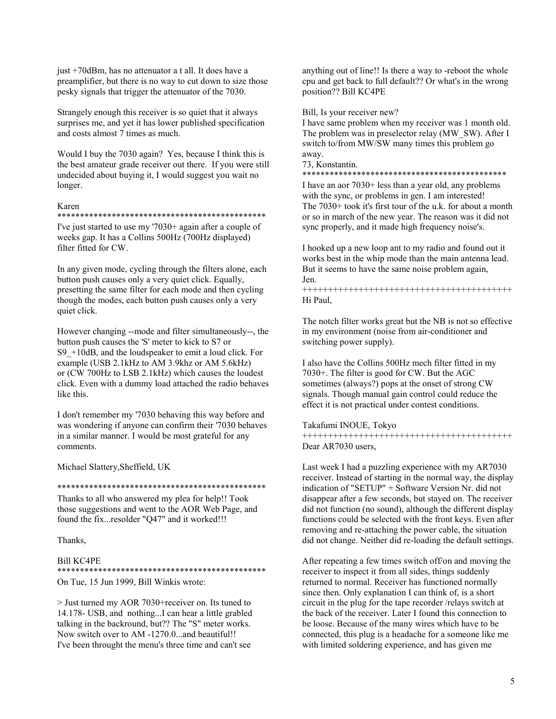just +70dBm, has no attenuator a t all. It does have a preamplifier, but there is no way to cut down to size those pesky signals that trigger the attenuator of the 7030.

Strangely enough this receiver is so quiet that it always surprises me, and yet it has lower published specification and costs almost 7 times as much.

Would I buy the 7030 again? Yes, because I think this is the best amateur grade receiver out there. If you were still undecided about buying it, I would suggest you wait no longer.

### Karen

#### \*\*\*\*\*\*\*\*\*\*\*\*\*\*\*\*\*\*\*\*\*\*\*\*\*\*\*\*\*\*\*\*\*\*\*\*\*\*\*\*\*\*\*\*\*\*

I've just started to use my '7030+ again after a couple of weeks gap. It has a Collins 500Hz (700Hz displayed) filter fitted for CW.

In any given mode, cycling through the filters alone, each button push causes only a very quiet click. Equally, presetting the same filter for each mode and then cycling though the modes, each button push causes only a very quiet click.

However changing --mode and filter simultaneously--, the button push causes the 'S' meter to kick to S7 or S9 +10dB, and the loudspeaker to emit a loud click. For example (USB 2.1kHz to AM 3.9khz or AM 5.6kHz) or (CW 700Hz to LSB 2.1kHz) which causes the loudest click. Even with a dummy load attached the radio behaves like this.

I don't remember my '7030 behaving this way before and was wondering if anyone can confirm their '7030 behaves in a similar manner. I would be most grateful for any comments.

Michael Slattery,Sheffield, UK

\*\*\*\*\*\*\*\*\*\*\*\*\*\*\*\*\*\*\*\*\*\*\*\*\*\*\*\*\*\*\*\*\*\*\*\*\*\*\*\*\*\*\*\*\*\*

Thanks to all who answered my plea for help!! Took those suggestions and went to the AOR Web Page, and found the fix...resolder "Q47" and it worked!!!

Thanks,

### Bill KC4PE

\*\*\*\*\*\*\*\*\*\*\*\*\*\*\*\*\*\*\*\*\*\*\*\*\*\*\*\*\*\*\*\*\*\*\*\*\*\*\*\*\*\*\*\*\*\* On Tue, 15 Jun 1999, Bill Winkis wrote:

> Just turned my AOR 7030+receiver on. Its tuned to 14.178- USB, and nothing...I can hear a little grabled talking in the backround, but?? The "S" meter works. Now switch over to AM -1270.0...and beautiful!! I've been throught the menu's three time and can't see

anything out of line!! Is there a way to -reboot the whole cpu and get back to full default?? Or what's in the wrong position?? Bill KC4PE

Bill, Is your receiver new?

I have same problem when my receiver was 1 month old. The problem was in preselector relay (MW\_SW). After I switch to/from MW/SW many times this problem go away.

73, Konstantin.

\*\*\*\*\*\*\*\*\*\*\*\*\*\*\*\*\*\*\*\*\*\*\*\*\*\*\*\*\*\*\*\*\*\*\*\*\*\*\*\*\*\*\*\*\*

I have an aor 7030+ less than a year old, any problems with the sync, or problems in gen. I am interested! The 7030+ took it's first tour of the u.k. for about a month or so in march of the new year. The reason was it did not sync properly, and it made high frequency noise's.

I hooked up a new loop ant to my radio and found out it works best in the whip mode than the main antenna lead. But it seems to have the same noise problem again, Jen.

+++++++++++++++++++++++++++++++++++++++++ Hi Paul,

The notch filter works great but the NB is not so effective in my environment (noise from air-conditioner and switching power supply).

I also have the Collins 500Hz mech filter fitted in my 7030+. The filter is good for CW. But the AGC sometimes (always?) pops at the onset of strong CW signals. Though manual gain control could reduce the effect it is not practical under contest conditions.

Takafumi INOUE, Tokyo +++++++++++++++++++++++++++++++++++++++++ Dear AR7030 users,

Last week I had a puzzling experience with my AR7030 receiver. Instead of starting in the normal way, the display indication of "SETUP" + Software Version Nr. did not disappear after a few seconds, but stayed on. The receiver did not function (no sound), although the different display functions could be selected with the front keys. Even after removing and re-attaching the power cable, the situation did not change. Neither did re-loading the default settings.

After repeating a few times switch off/on and moving the receiver to inspect it from all sides, things suddenly returned to normal. Receiver has functioned normally since then. Only explanation I can think of, is a short circuit in the plug for the tape recorder /relays switch at the back of the receiver. Later I found this connection to be loose. Because of the many wires which have to be connected, this plug is a headache for a someone like me with limited soldering experience, and has given me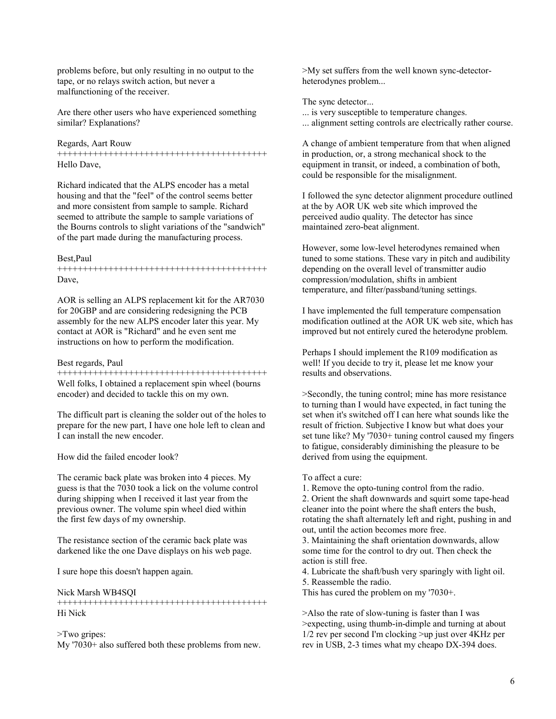problems before, but only resulting in no output to the tape, or no relays switch action, but never a malfunctioning of the receiver.

Are there other users who have experienced something similar? Explanations?

## Regards, Aart Rouw

+++++++++++++++++++++++++++++++++++++++++ Hello Dave,

Richard indicated that the ALPS encoder has a metal housing and that the "feel" of the control seems better and more consistent from sample to sample. Richard seemed to attribute the sample to sample variations of the Bourns controls to slight variations of the "sandwich" of the part made during the manufacturing process.

#### Best,Paul

+++++++++++++++++++++++++++++++++++++++++ Dave,

AOR is selling an ALPS replacement kit for the AR7030 for 20GBP and are considering redesigning the PCB assembly for the new ALPS encoder later this year. My contact at AOR is "Richard" and he even sent me instructions on how to perform the modification.

### Best regards, Paul

+++++++++++++++++++++++++++++++++++++++++ Well folks. I obtained a replacement spin wheel (bourns) encoder) and decided to tackle this on my own.

The difficult part is cleaning the solder out of the holes to prepare for the new part, I have one hole left to clean and I can install the new encoder.

How did the failed encoder look?

The ceramic back plate was broken into 4 pieces. My guess is that the 7030 took a lick on the volume control during shipping when I received it last year from the previous owner. The volume spin wheel died within the first few days of my ownership.

The resistance section of the ceramic back plate was darkened like the one Dave displays on his web page.

I sure hope this doesn't happen again.

Nick Marsh WB4SQI

+++++++++++++++++++++++++++++++++++++++++ Hi Nick

### >Two gripes:

My '7030+ also suffered both these problems from new.

>My set suffers from the well known sync-detectorheterodynes problem...

The sync detector...

... is very susceptible to temperature changes.

... alignment setting controls are electrically rather course.

A change of ambient temperature from that when aligned in production, or, a strong mechanical shock to the equipment in transit, or indeed, a combination of both, could be responsible for the misalignment.

I followed the sync detector alignment procedure outlined at the by AOR UK web site which improved the perceived audio quality. The detector has since maintained zero-beat alignment.

However, some low-level heterodynes remained when tuned to some stations. These vary in pitch and audibility depending on the overall level of transmitter audio compression/modulation, shifts in ambient temperature, and filter/passband/tuning settings.

I have implemented the full temperature compensation modification outlined at the AOR UK web site, which has improved but not entirely cured the heterodyne problem.

Perhaps I should implement the R109 modification as well! If you decide to try it, please let me know your results and observations.

>Secondly, the tuning control; mine has more resistance to turning than I would have expected, in fact tuning the set when it's switched off I can here what sounds like the result of friction. Subjective I know but what does your set tune like? My '7030+ tuning control caused my fingers to fatigue, considerably diminishing the pleasure to be derived from using the equipment.

### To affect a cure:

1. Remove the opto-tuning control from the radio.

2. Orient the shaft downwards and squirt some tape-head cleaner into the point where the shaft enters the bush, rotating the shaft alternately left and right, pushing in and out, until the action becomes more free.

3. Maintaining the shaft orientation downwards, allow some time for the control to dry out. Then check the action is still free.

4. Lubricate the shaft/bush very sparingly with light oil. 5. Reassemble the radio.

This has cured the problem on my '7030+.

>Also the rate of slow-tuning is faster than I was >expecting, using thumb-in-dimple and turning at about 1/2 rev per second I'm clocking >up just over 4KHz per rev in USB, 2-3 times what my cheapo DX-394 does.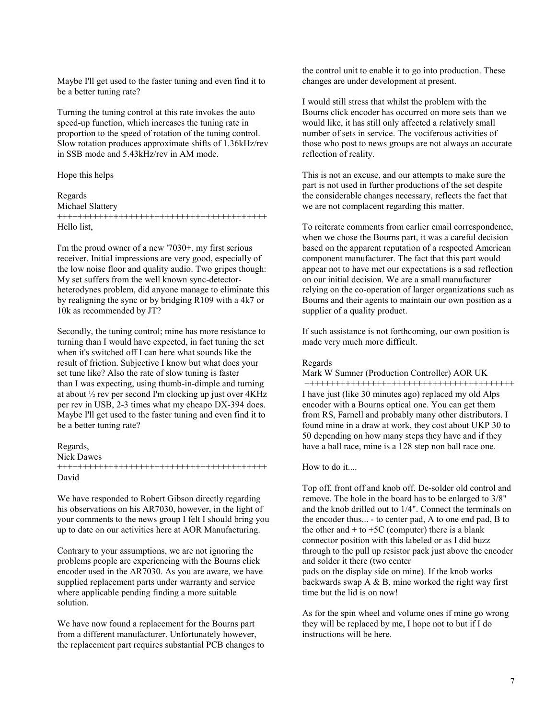Maybe I'll get used to the faster tuning and even find it to be a better tuning rate?

Turning the tuning control at this rate invokes the auto speed-up function, which increases the tuning rate in proportion to the speed of rotation of the tuning control. Slow rotation produces approximate shifts of 1.36kHz/rev in SSB mode and 5.43kHz/rev in AM mode.

## Hope this helps

# Regards Michael Slattery +++++++++++++++++++++++++++++++++++++++++ Hello list,

I'm the proud owner of a new '7030+, my first serious receiver. Initial impressions are very good, especially of the low noise floor and quality audio. Two gripes though: My set suffers from the well known sync-detectorheterodynes problem, did anyone manage to eliminate this by realigning the sync or by bridging R109 with a 4k7 or 10k as recommended by JT?

Secondly, the tuning control; mine has more resistance to turning than I would have expected, in fact tuning the set when it's switched off I can here what sounds like the result of friction. Subjective I know but what does your set tune like? Also the rate of slow tuning is faster than I was expecting, using thumb-in-dimple and turning at about ½ rev per second I'm clocking up just over 4KHz per rev in USB, 2-3 times what my cheapo DX-394 does. Maybe I'll get used to the faster tuning and even find it to be a better tuning rate?

# Regards,

Nick Dawes

+++++++++++++++++++++++++++++++++++++++++ David

We have responded to Robert Gibson directly regarding his observations on his AR7030, however, in the light of your comments to the news group I felt I should bring you up to date on our activities here at AOR Manufacturing.

Contrary to your assumptions, we are not ignoring the problems people are experiencing with the Bourns click encoder used in the AR7030. As you are aware, we have supplied replacement parts under warranty and service where applicable pending finding a more suitable solution.

We have now found a replacement for the Bourns part from a different manufacturer. Unfortunately however, the replacement part requires substantial PCB changes to the control unit to enable it to go into production. These changes are under development at present.

I would still stress that whilst the problem with the Bourns click encoder has occurred on more sets than we would like, it has still only affected a relatively small number of sets in service. The vociferous activities of those who post to news groups are not always an accurate reflection of reality.

This is not an excuse, and our attempts to make sure the part is not used in further productions of the set despite the considerable changes necessary, reflects the fact that we are not complacent regarding this matter.

To reiterate comments from earlier email correspondence, when we chose the Bourns part, it was a careful decision based on the apparent reputation of a respected American component manufacturer. The fact that this part would appear not to have met our expectations is a sad reflection on our initial decision. We are a small manufacturer relying on the co-operation of larger organizations such as Bourns and their agents to maintain our own position as a supplier of a quality product.

If such assistance is not forthcoming, our own position is made very much more difficult.

#### Regards

Mark W Sumner (Production Controller) AOR UK

 +++++++++++++++++++++++++++++++++++++++++ I have just (like 30 minutes ago) replaced my old Alps encoder with a Bourns optical one. You can get them from RS, Farnell and probably many other distributors. I found mine in a draw at work, they cost about UKP 30 to 50 depending on how many steps they have and if they have a ball race, mine is a 128 step non ball race one.

# How to do it....

Top off, front off and knob off. De-solder old control and remove. The hole in the board has to be enlarged to 3/8" and the knob drilled out to 1/4". Connect the terminals on the encoder thus... - to center pad, A to one end pad, B to the other and  $+$  to  $+5C$  (computer) there is a blank connector position with this labeled or as I did buzz through to the pull up resistor pack just above the encoder and solder it there (two center pads on the display side on mine). If the knob works backwards swap  $A \& B$ , mine worked the right way first time but the lid is on now!

As for the spin wheel and volume ones if mine go wrong they will be replaced by me, I hope not to but if I do instructions will be here.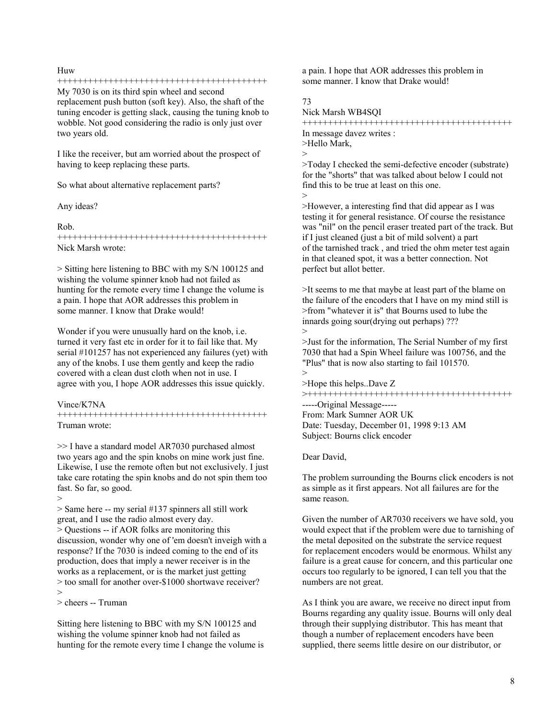# Huw

### +++++++++++++++++++++++++++++++++++++++++

My 7030 is on its third spin wheel and second replacement push button (soft key). Also, the shaft of the tuning encoder is getting slack, causing the tuning knob to wobble. Not good considering the radio is only just over two years old.

I like the receiver, but am worried about the prospect of having to keep replacing these parts.

So what about alternative replacement parts?

Any ideas?

### Rob.

+++++++++++++++++++++++++++++++++++++++++ Nick Marsh wrote:

> Sitting here listening to BBC with my S/N 100125 and wishing the volume spinner knob had not failed as hunting for the remote every time I change the volume is a pain. I hope that AOR addresses this problem in some manner. I know that Drake would!

Wonder if you were unusually hard on the knob, i.e. turned it very fast etc in order for it to fail like that. My serial #101257 has not experienced any failures (yet) with any of the knobs. I use them gently and keep the radio covered with a clean dust cloth when not in use. I agree with you, I hope AOR addresses this issue quickly.

Vince/K7NA

>

+++++++++++++++++++++++++++++++++++++++++ Truman wrote:

>> I have a standard model AR7030 purchased almost two years ago and the spin knobs on mine work just fine. Likewise, I use the remote often but not exclusively. I just take care rotating the spin knobs and do not spin them too fast. So far, so good.

> Same here -- my serial #137 spinners all still work great, and I use the radio almost every day. > Questions -- if AOR folks are monitoring this discussion, wonder why one of 'em doesn't inveigh with a response? If the 7030 is indeed coming to the end of its production, does that imply a newer receiver is in the works as a replacement, or is the market just getting > too small for another over-\$1000 shortwave receiver? >

> cheers -- Truman

Sitting here listening to BBC with my S/N 100125 and wishing the volume spinner knob had not failed as hunting for the remote every time I change the volume is a pain. I hope that AOR addresses this problem in some manner. I know that Drake would!

73

Nick Marsh WB4SQI

+++++++++++++++++++++++++++++++++++++++++ In message davez writes : >Hello Mark, >

>Today I checked the semi-defective encoder (substrate) for the "shorts" that was talked about below I could not find this to be true at least on this one. >

>However, a interesting find that did appear as I was testing it for general resistance. Of course the resistance was "nil" on the pencil eraser treated part of the track. But if I just cleaned (just a bit of mild solvent) a part of the tarnished track , and tried the ohm meter test again in that cleaned spot, it was a better connection. Not perfect but allot better.

>It seems to me that maybe at least part of the blame on the failure of the encoders that I have on my mind still is >from "whatever it is" that Bourns used to lube the innards going sour(drying out perhaps) ??? >

>Just for the information, The Serial Number of my first 7030 that had a Spin Wheel failure was 100756, and the "Plus" that is now also starting to fail 101570. >

>Hope this helps..Dave Z

>++++++++++++++++++++++++++++++++++++++++

-----Original Message----- From: Mark Sumner AOR UK Date: Tuesday, December 01, 1998 9:13 AM Subject: Bourns click encoder

Dear David,

The problem surrounding the Bourns click encoders is not as simple as it first appears. Not all failures are for the same reason.

Given the number of AR7030 receivers we have sold, you would expect that if the problem were due to tarnishing of the metal deposited on the substrate the service request for replacement encoders would be enormous. Whilst any failure is a great cause for concern, and this particular one occurs too regularly to be ignored, I can tell you that the numbers are not great.

As I think you are aware, we receive no direct input from Bourns regarding any quality issue. Bourns will only deal through their supplying distributor. This has meant that though a number of replacement encoders have been supplied, there seems little desire on our distributor, or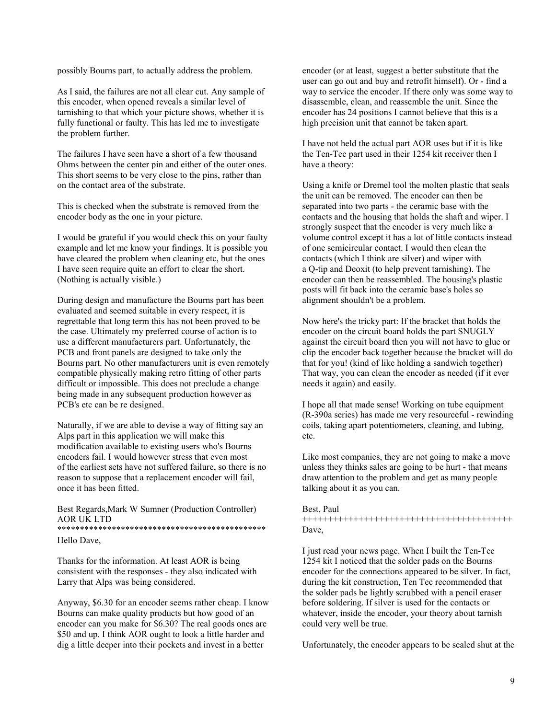possibly Bourns part, to actually address the problem.

As I said, the failures are not all clear cut. Any sample of this encoder, when opened reveals a similar level of tarnishing to that which your picture shows, whether it is fully functional or faulty. This has led me to investigate the problem further.

The failures I have seen have a short of a few thousand Ohms between the center pin and either of the outer ones. This short seems to be very close to the pins, rather than on the contact area of the substrate.

This is checked when the substrate is removed from the encoder body as the one in your picture.

I would be grateful if you would check this on your faulty example and let me know your findings. It is possible you have cleared the problem when cleaning etc, but the ones I have seen require quite an effort to clear the short. (Nothing is actually visible.)

During design and manufacture the Bourns part has been evaluated and seemed suitable in every respect, it is regrettable that long term this has not been proved to be the case. Ultimately my preferred course of action is to use a different manufacturers part. Unfortunately, the PCB and front panels are designed to take only the Bourns part. No other manufacturers unit is even remotely compatible physically making retro fitting of other parts difficult or impossible. This does not preclude a change being made in any subsequent production however as PCB's etc can be re designed.

Naturally, if we are able to devise a way of fitting say an Alps part in this application we will make this modification available to existing users who's Bourns encoders fail. I would however stress that even most of the earliest sets have not suffered failure, so there is no reason to suppose that a replacement encoder will fail, once it has been fitted.

Best Regards,Mark W Sumner (Production Controller) AOR UK LTD \*\*\*\*\*\*\*\*\*\*\*\*\*\*\*\*\*\*\*\*\*\*\*\*\*\*\*\*\*\*\*\*\*\*\*\*\*\*\*\*\*\*\*\*\*\*

Hello Dave,

Thanks for the information. At least AOR is being consistent with the responses - they also indicated with Larry that Alps was being considered.

Anyway, \$6.30 for an encoder seems rather cheap. I know Bourns can make quality products but how good of an encoder can you make for \$6.30? The real goods ones are \$50 and up. I think AOR ought to look a little harder and dig a little deeper into their pockets and invest in a better

encoder (or at least, suggest a better substitute that the user can go out and buy and retrofit himself). Or - find a way to service the encoder. If there only was some way to disassemble, clean, and reassemble the unit. Since the encoder has 24 positions I cannot believe that this is a high precision unit that cannot be taken apart.

I have not held the actual part AOR uses but if it is like the Ten-Tec part used in their 1254 kit receiver then I have a theory:

Using a knife or Dremel tool the molten plastic that seals the unit can be removed. The encoder can then be separated into two parts - the ceramic base with the contacts and the housing that holds the shaft and wiper. I strongly suspect that the encoder is very much like a volume control except it has a lot of little contacts instead of one semicircular contact. I would then clean the contacts (which I think are silver) and wiper with a Q-tip and Deoxit (to help prevent tarnishing). The encoder can then be reassembled. The housing's plastic posts will fit back into the ceramic base's holes so alignment shouldn't be a problem.

Now here's the tricky part: If the bracket that holds the encoder on the circuit board holds the part SNUGLY against the circuit board then you will not have to glue or clip the encoder back together because the bracket will do that for you! (kind of like holding a sandwich together) That way, you can clean the encoder as needed (if it ever needs it again) and easily.

I hope all that made sense! Working on tube equipment (R-390a series) has made me very resourceful - rewinding coils, taking apart potentiometers, cleaning, and lubing, etc.

Like most companies, they are not going to make a move unless they thinks sales are going to be hurt - that means draw attention to the problem and get as many people talking about it as you can.

# Best, Paul +++++++++++++++++++++++++++++++++++++++++ Dave,

I just read your news page. When I built the Ten-Tec 1254 kit I noticed that the solder pads on the Bourns encoder for the connections appeared to be silver. In fact, during the kit construction, Ten Tec recommended that the solder pads be lightly scrubbed with a pencil eraser before soldering. If silver is used for the contacts or whatever, inside the encoder, your theory about tarnish could very well be true.

Unfortunately, the encoder appears to be sealed shut at the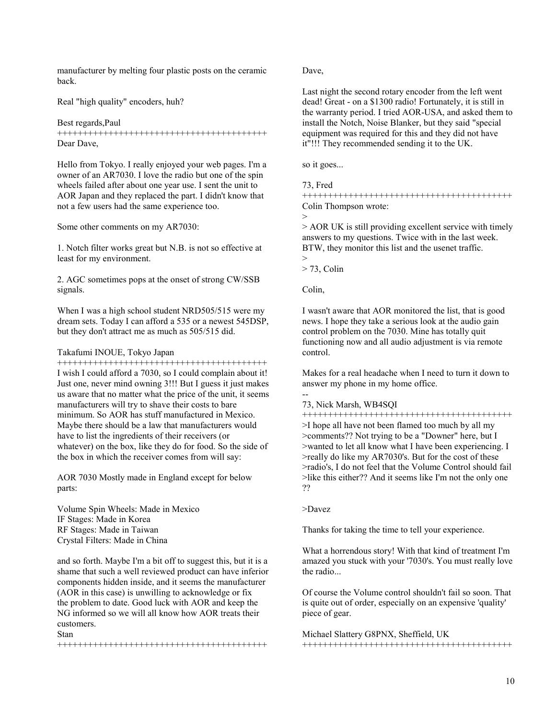manufacturer by melting four plastic posts on the ceramic back.

Real "high quality" encoders, huh?

Best regards,Paul +++++++++++++++++++++++++++++++++++++++++ Dear Dave,

Hello from Tokyo. I really enjoyed your web pages. I'm a owner of an AR7030. I love the radio but one of the spin wheels failed after about one year use. I sent the unit to AOR Japan and they replaced the part. I didn't know that not a few users had the same experience too.

Some other comments on my AR7030:

1. Notch filter works great but N.B. is not so effective at least for my environment.

2. AGC sometimes pops at the onset of strong CW/SSB signals.

When I was a high school student NRD505/515 were my dream sets. Today I can afford a 535 or a newest 545DSP, but they don't attract me as much as 505/515 did.

# Takafumi INOUE, Tokyo Japan

+++++++++++++++++++++++++++++++++++++++++ I wish I could afford a 7030, so I could complain about it! Just one, never mind owning 3!!! But I guess it just makes us aware that no matter what the price of the unit, it seems manufacturers will try to shave their costs to bare minimum. So AOR has stuff manufactured in Mexico. Maybe there should be a law that manufacturers would have to list the ingredients of their receivers (or whatever) on the box, like they do for food. So the side of the box in which the receiver comes from will say:

AOR 7030 Mostly made in England except for below parts:

Volume Spin Wheels: Made in Mexico IF Stages: Made in Korea RF Stages: Made in Taiwan Crystal Filters: Made in China

and so forth. Maybe I'm a bit off to suggest this, but it is a shame that such a well reviewed product can have inferior components hidden inside, and it seems the manufacturer (AOR in this case) is unwilling to acknowledge or fix the problem to date. Good luck with AOR and keep the NG informed so we will all know how AOR treats their customers. Stan

+++++++++++++++++++++++++++++++++++++++++

Dave,

Last night the second rotary encoder from the left went dead! Great - on a \$1300 radio! Fortunately, it is still in the warranty period. I tried AOR-USA, and asked them to install the Notch, Noise Blanker, but they said "special equipment was required for this and they did not have it"!!! They recommended sending it to the UK.

so it goes...

# 73, Fred

+++++++++++++++++++++++++++++++++++++++++ Colin Thompson wrote:



> AOR UK is still providing excellent service with timely answers to my questions. Twice with in the last week. BTW, they monitor this list and the usenet traffic.

>  $>$  73, Colin

Colin,

I wasn't aware that AOR monitored the list, that is good news. I hope they take a serious look at the audio gain control problem on the 7030. Mine has totally quit functioning now and all audio adjustment is via remote control.

Makes for a real headache when I need to turn it down to answer my phone in my home office.

-- 73, Nick Marsh, WB4SQI

+++++++++++++++++++++++++++++++++++++++++ >I hope all have not been flamed too much by all my >comments?? Not trying to be a "Downer" here, but I >wanted to let all know what I have been experiencing. I >really do like my AR7030's. But for the cost of these >radio's, I do not feel that the Volume Control should fail >like this either?? And it seems like I'm not the only one ??

>Davez

Thanks for taking the time to tell your experience.

What a horrendous story! With that kind of treatment I'm amazed you stuck with your '7030's. You must really love the radio...

Of course the Volume control shouldn't fail so soon. That is quite out of order, especially on an expensive 'quality' piece of gear.

Michael Slattery G8PNX, Sheffield, UK +++++++++++++++++++++++++++++++++++++++++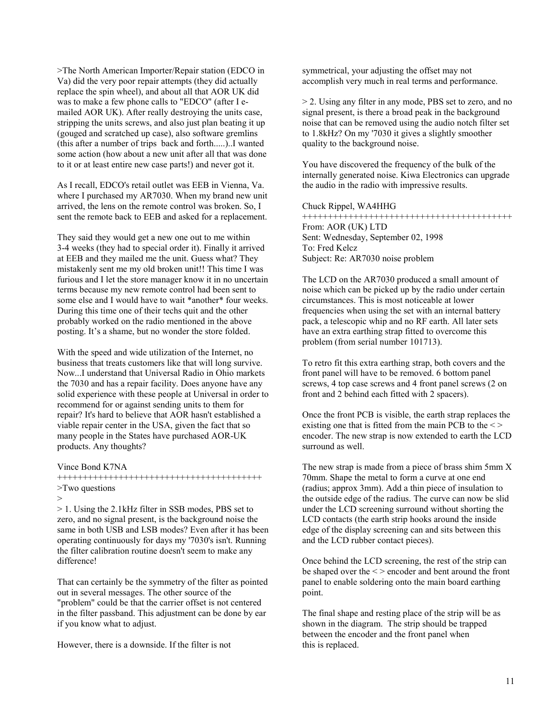>The North American Importer/Repair station (EDCO in Va) did the very poor repair attempts (they did actually replace the spin wheel), and about all that AOR UK did was to make a few phone calls to "EDCO" (after I emailed AOR UK). After really destroying the units case, stripping the units screws, and also just plan beating it up (gouged and scratched up case), also software gremlins (this after a number of trips back and forth.....)..I wanted some action (how about a new unit after all that was done to it or at least entire new case parts!) and never got it.

As I recall, EDCO's retail outlet was EEB in Vienna, Va. where I purchased my AR7030. When my brand new unit arrived, the lens on the remote control was broken. So, I sent the remote back to EEB and asked for a replacement.

They said they would get a new one out to me within 3-4 weeks (they had to special order it). Finally it arrived at EEB and they mailed me the unit. Guess what? They mistakenly sent me my old broken unit!! This time I was furious and I let the store manager know it in no uncertain terms because my new remote control had been sent to some else and I would have to wait \*another\* four weeks. During this time one of their techs quit and the other probably worked on the radio mentioned in the above posting. It's a shame, but no wonder the store folded.

With the speed and wide utilization of the Internet, no business that treats customers like that will long survive. Now...I understand that Universal Radio in Ohio markets the 7030 and has a repair facility. Does anyone have any solid experience with these people at Universal in order to recommend for or against sending units to them for repair? It's hard to believe that AOR hasn't established a viable repair center in the USA, given the fact that so many people in the States have purchased AOR-UK products. Any thoughts?

Vince Bond K7NA

++++++++++++++++++++++++++++++++++++++++ >Two questions

>

> 1. Using the 2.1kHz filter in SSB modes, PBS set to zero, and no signal present, is the background noise the same in both USB and LSB modes? Even after it has been operating continuously for days my '7030's isn't. Running the filter calibration routine doesn't seem to make any difference!

That can certainly be the symmetry of the filter as pointed out in several messages. The other source of the "problem" could be that the carrier offset is not centered in the filter passband. This adjustment can be done by ear if you know what to adjust.

However, there is a downside. If the filter is not

symmetrical, your adjusting the offset may not accomplish very much in real terms and performance.

> 2. Using any filter in any mode, PBS set to zero, and no signal present, is there a broad peak in the background noise that can be removed using the audio notch filter set to 1.8kHz? On my '7030 it gives a slightly smoother quality to the background noise.

You have discovered the frequency of the bulk of the internally generated noise. Kiwa Electronics can upgrade the audio in the radio with impressive results.

Chuck Rippel, WA4HHG

+++++++++++++++++++++++++++++++++++++++++ From: AOR (UK) LTD Sent: Wednesday, September 02, 1998 To: Fred Kelcz Subject: Re: AR7030 noise problem

The LCD on the AR7030 produced a small amount of noise which can be picked up by the radio under certain circumstances. This is most noticeable at lower frequencies when using the set with an internal battery pack, a telescopic whip and no RF earth. All later sets have an extra earthing strap fitted to overcome this problem (from serial number 101713).

To retro fit this extra earthing strap, both covers and the front panel will have to be removed. 6 bottom panel screws, 4 top case screws and 4 front panel screws (2 on front and 2 behind each fitted with 2 spacers).

Once the front PCB is visible, the earth strap replaces the existing one that is fitted from the main PCB to the  $\le$ > encoder. The new strap is now extended to earth the LCD surround as well.

The new strap is made from a piece of brass shim 5mm X 70mm. Shape the metal to form a curve at one end (radius; approx 3mm). Add a thin piece of insulation to the outside edge of the radius. The curve can now be slid under the LCD screening surround without shorting the LCD contacts (the earth strip hooks around the inside edge of the display screening can and sits between this and the LCD rubber contact pieces).

Once behind the LCD screening, the rest of the strip can be shaped over the < > encoder and bent around the front panel to enable soldering onto the main board earthing point.

The final shape and resting place of the strip will be as shown in the diagram. The strip should be trapped between the encoder and the front panel when this is replaced.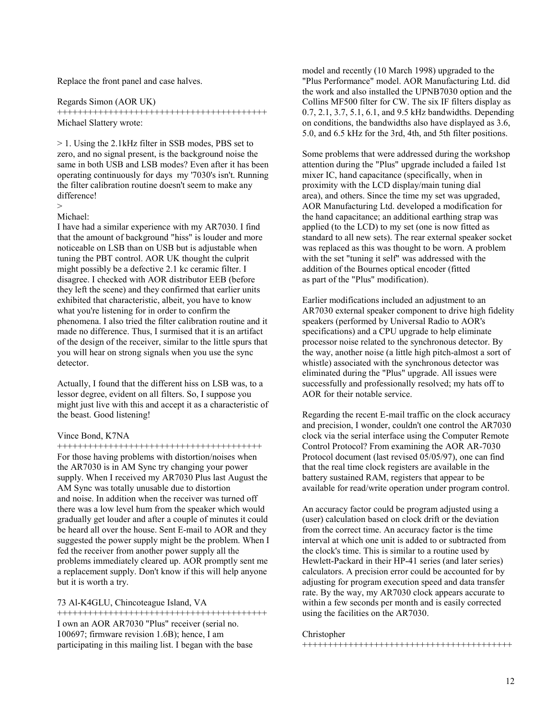Replace the front panel and case halves.

Regards Simon (AOR UK)

+++++++++++++++++++++++++++++++++++++++++ Michael Slattery wrote:

> 1. Using the 2.1kHz filter in SSB modes, PBS set to zero, and no signal present, is the background noise the same in both USB and LSB modes? Even after it has been operating continuously for days my '7030's isn't. Running the filter calibration routine doesn't seem to make any difference!

### > Michael:

I have had a similar experience with my AR7030. I find that the amount of background "hiss" is louder and more noticeable on LSB than on USB but is adjustable when tuning the PBT control. AOR UK thought the culprit might possibly be a defective 2.1 kc ceramic filter. I disagree. I checked with AOR distributor EEB (before they left the scene) and they confirmed that earlier units exhibited that characteristic, albeit, you have to know what you're listening for in order to confirm the phenomena. I also tried the filter calibration routine and it made no difference. Thus, I surmised that it is an artifact of the design of the receiver, similar to the little spurs that you will hear on strong signals when you use the sync detector.

Actually, I found that the different hiss on LSB was, to a lessor degree, evident on all filters. So, I suppose you might just live with this and accept it as a characteristic of the beast. Good listening!

### Vince Bond, K7NA

++++++++++++++++++++++++++++++++++++++++ For those having problems with distortion/noises when the AR7030 is in AM Sync try changing your power supply. When I received my AR7030 Plus last August the AM Sync was totally unusable due to distortion and noise. In addition when the receiver was turned off there was a low level hum from the speaker which would gradually get louder and after a couple of minutes it could be heard all over the house. Sent E-mail to AOR and they suggested the power supply might be the problem. When I fed the receiver from another power supply all the problems immediately cleared up. AOR promptly sent me a replacement supply. Don't know if this will help anyone but it is worth a try.

### 73 Al-K4GLU, Chincoteague Island, VA

+++++++++++++++++++++++++++++++++++++++++ I own an AOR AR7030 "Plus" receiver (serial no. 100697; firmware revision 1.6B); hence, I am participating in this mailing list. I began with the base

model and recently (10 March 1998) upgraded to the "Plus Performance" model. AOR Manufacturing Ltd. did the work and also installed the UPNB7030 option and the Collins MF500 filter for CW. The six IF filters display as 0.7, 2.1, 3.7, 5.1, 6.1, and 9.5 kHz bandwidths. Depending on conditions, the bandwidths also have displayed as 3.6, 5.0, and 6.5 kHz for the 3rd, 4th, and 5th filter positions.

Some problems that were addressed during the workshop attention during the "Plus" upgrade included a failed 1st mixer IC, hand capacitance (specifically, when in proximity with the LCD display/main tuning dial area), and others. Since the time my set was upgraded, AOR Manufacturing Ltd. developed a modification for the hand capacitance; an additional earthing strap was applied (to the LCD) to my set (one is now fitted as standard to all new sets). The rear external speaker socket was replaced as this was thought to be worn. A problem with the set "tuning it self" was addressed with the addition of the Bournes optical encoder (fitted as part of the "Plus" modification).

Earlier modifications included an adjustment to an AR7030 external speaker component to drive high fidelity speakers (performed by Universal Radio to AOR's specifications) and a CPU upgrade to help eliminate processor noise related to the synchronous detector. By the way, another noise (a little high pitch-almost a sort of whistle) associated with the synchronous detector was eliminated during the "Plus" upgrade. All issues were successfully and professionally resolved; my hats off to AOR for their notable service.

Regarding the recent E-mail traffic on the clock accuracy and precision, I wonder, couldn't one control the AR7030 clock via the serial interface using the Computer Remote Control Protocol? From examining the AOR AR-7030 Protocol document (last revised 05/05/97), one can find that the real time clock registers are available in the battery sustained RAM, registers that appear to be available for read/write operation under program control.

An accuracy factor could be program adjusted using a (user) calculation based on clock drift or the deviation from the correct time. An accuracy factor is the time interval at which one unit is added to or subtracted from the clock's time. This is similar to a routine used by Hewlett-Packard in their HP-41 series (and later series) calculators. A precision error could be accounted for by adjusting for program execution speed and data transfer rate. By the way, my AR7030 clock appears accurate to within a few seconds per month and is easily corrected using the facilities on the AR7030.

# Christopher

+++++++++++++++++++++++++++++++++++++++++